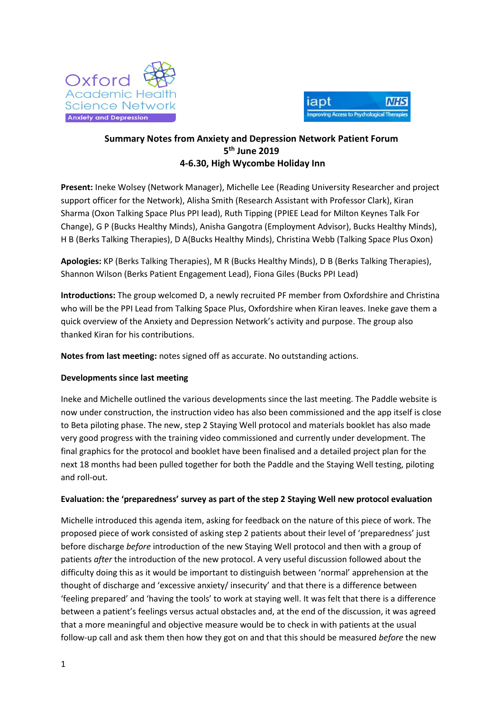



## **Summary Notes from Anxiety and Depression Network Patient Forum 5 th June 2019 4-6.30, High Wycombe Holiday Inn**

**Present:** Ineke Wolsey (Network Manager), Michelle Lee (Reading University Researcher and project support officer for the Network), Alisha Smith (Research Assistant with Professor Clark), Kiran Sharma (Oxon Talking Space Plus PPI lead), Ruth Tipping (PPIEE Lead for Milton Keynes Talk For Change), G P (Bucks Healthy Minds), Anisha Gangotra (Employment Advisor), Bucks Healthy Minds), H B (Berks Talking Therapies), D A(Bucks Healthy Minds), Christina Webb (Talking Space Plus Oxon)

**Apologies:** KP (Berks Talking Therapies), M R (Bucks Healthy Minds), D B (Berks Talking Therapies), Shannon Wilson (Berks Patient Engagement Lead), Fiona Giles (Bucks PPI Lead)

**Introductions:** The group welcomed D, a newly recruited PF member from Oxfordshire and Christina who will be the PPI Lead from Talking Space Plus, Oxfordshire when Kiran leaves. Ineke gave them a quick overview of the Anxiety and Depression Network's activity and purpose. The group also thanked Kiran for his contributions.

**Notes from last meeting:** notes signed off as accurate. No outstanding actions.

## **Developments since last meeting**

Ineke and Michelle outlined the various developments since the last meeting. The Paddle website is now under construction, the instruction video has also been commissioned and the app itself is close to Beta piloting phase. The new, step 2 Staying Well protocol and materials booklet has also made very good progress with the training video commissioned and currently under development. The final graphics for the protocol and booklet have been finalised and a detailed project plan for the next 18 months had been pulled together for both the Paddle and the Staying Well testing, piloting and roll-out.

## **Evaluation: the 'preparedness' survey as part of the step 2 Staying Well new protocol evaluation**

Michelle introduced this agenda item, asking for feedback on the nature of this piece of work. The proposed piece of work consisted of asking step 2 patients about their level of 'preparedness' just before discharge *before* introduction of the new Staying Well protocol and then with a group of patients *after* the introduction of the new protocol. A very useful discussion followed about the difficulty doing this as it would be important to distinguish between 'normal' apprehension at the thought of discharge and 'excessive anxiety/ insecurity' and that there is a difference between 'feeling prepared' and 'having the tools' to work at staying well. It was felt that there is a difference between a patient's feelings versus actual obstacles and, at the end of the discussion, it was agreed that a more meaningful and objective measure would be to check in with patients at the usual follow-up call and ask them then how they got on and that this should be measured *before* the new